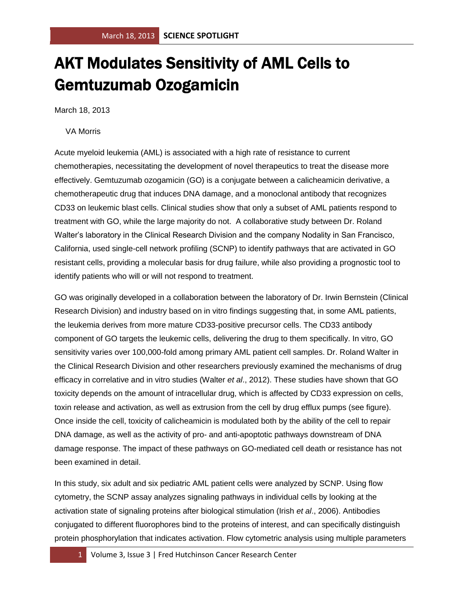## AKT Modulates Sensitivity of AML Cells to Gemtuzumab Ozogamicin

March 18, 2013

## VA Morris

Acute myeloid leukemia (AML) is associated with a high rate of resistance to current chemotherapies, necessitating the development of novel therapeutics to treat the disease more effectively. Gemtuzumab ozogamicin (GO) is a conjugate between a calicheamicin derivative, a chemotherapeutic drug that induces DNA damage, and a monoclonal antibody that recognizes CD33 on leukemic blast cells. Clinical studies show that only a subset of AML patients respond to treatment with GO, while the large majority do not. A collaborative study between Dr. Roland Walter's laboratory in the Clinical Research Division and the company Nodality in San Francisco, California, used single-cell network profiling (SCNP) to identify pathways that are activated in GO resistant cells, providing a molecular basis for drug failure, while also providing a prognostic tool to identify patients who will or will not respond to treatment.

GO was originally developed in a collaboration between the laboratory of Dr. Irwin Bernstein (Clinical Research Division) and industry based on in vitro findings suggesting that, in some AML patients, the leukemia derives from more mature CD33-positive precursor cells. The CD33 antibody component of GO targets the leukemic cells, delivering the drug to them specifically. In vitro, GO sensitivity varies over 100,000-fold among primary AML patient cell samples. Dr. Roland Walter in the Clinical Research Division and other researchers previously examined the mechanisms of drug efficacy in correlative and in vitro studies (Walter *et al*., 2012). These studies have shown that GO toxicity depends on the amount of intracellular drug, which is affected by CD33 expression on cells, toxin release and activation, as well as extrusion from the cell by drug efflux pumps (see figure). Once inside the cell, toxicity of calicheamicin is modulated both by the ability of the cell to repair DNA damage, as well as the activity of pro- and anti-apoptotic pathways downstream of DNA damage response. The impact of these pathways on GO-mediated cell death or resistance has not been examined in detail.

In this study, six adult and six pediatric AML patient cells were analyzed by SCNP. Using flow cytometry, the SCNP assay analyzes signaling pathways in individual cells by looking at the activation state of signaling proteins after biological stimulation (Irish *et al*., 2006). Antibodies conjugated to different fluorophores bind to the proteins of interest, and can specifically distinguish protein phosphorylation that indicates activation. Flow cytometric analysis using multiple parameters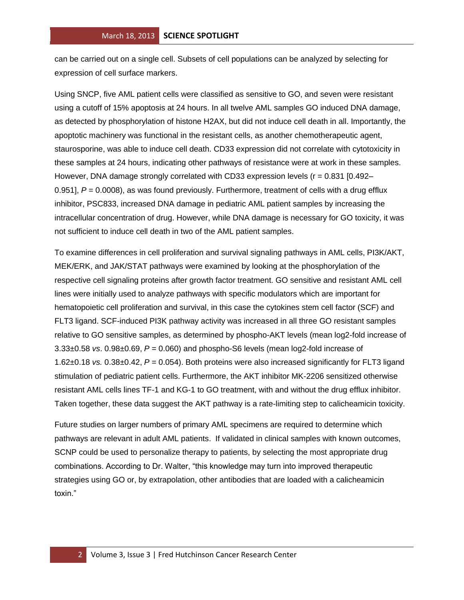can be carried out on a single cell. Subsets of cell populations can be analyzed by selecting for expression of cell surface markers.

Using SNCP, five AML patient cells were classified as sensitive to GO, and seven were resistant using a cutoff of 15% apoptosis at 24 hours. In all twelve AML samples GO induced DNA damage, as detected by phosphorylation of histone H2AX, but did not induce cell death in all. Importantly, the apoptotic machinery was functional in the resistant cells, as another chemotherapeutic agent, staurosporine, was able to induce cell death. CD33 expression did not correlate with cytotoxicity in these samples at 24 hours, indicating other pathways of resistance were at work in these samples. However, DNA damage strongly correlated with CD33 expression levels ( $r = 0.831$  [0.492– 0.951],  $P = 0.0008$ , as was found previously. Furthermore, treatment of cells with a drug efflux inhibitor, PSC833, increased DNA damage in pediatric AML patient samples by increasing the intracellular concentration of drug. However, while DNA damage is necessary for GO toxicity, it was not sufficient to induce cell death in two of the AML patient samples.

To examine differences in cell proliferation and survival signaling pathways in AML cells, PI3K/AKT, MEK/ERK, and JAK/STAT pathways were examined by looking at the phosphorylation of the respective cell signaling proteins after growth factor treatment. GO sensitive and resistant AML cell lines were initially used to analyze pathways with specific modulators which are important for hematopoietic cell proliferation and survival, in this case the cytokines stem cell factor (SCF) and FLT3 ligand. SCF-induced PI3K pathway activity was increased in all three GO resistant samples relative to GO sensitive samples, as determined by phospho-AKT levels (mean log2-fold increase of 3.33±0.58 *vs*. 0.98±0.69, *P* = 0.060) and phospho-S6 levels (mean log2-fold increase of 1.62±0.18 *vs.* 0.38±0.42, *P* = 0.054). Both proteins were also increased significantly for FLT3 ligand stimulation of pediatric patient cells. Furthermore, the AKT inhibitor MK-2206 sensitized otherwise resistant AML cells lines TF-1 and KG-1 to GO treatment, with and without the drug efflux inhibitor. Taken together, these data suggest the AKT pathway is a rate-limiting step to calicheamicin toxicity.

Future studies on larger numbers of primary AML specimens are required to determine which pathways are relevant in adult AML patients. If validated in clinical samples with known outcomes, SCNP could be used to personalize therapy to patients, by selecting the most appropriate drug combinations. According to Dr. Walter, "this knowledge may turn into improved therapeutic strategies using GO or, by extrapolation, other antibodies that are loaded with a calicheamicin toxin."